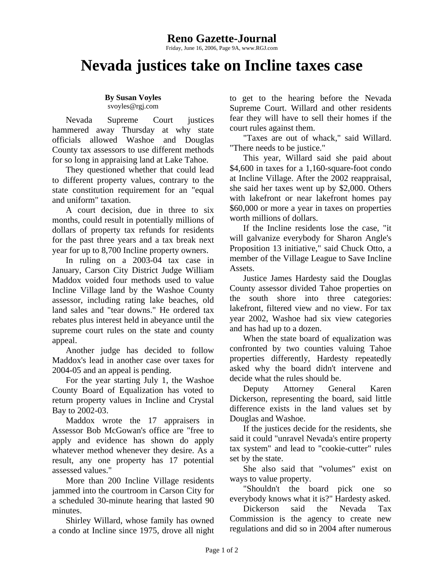## **Reno Gazette-Journal**

Friday, June 16, 2006, Page 9A, www.RGJ.com

## **Nevada justices take on Incline taxes case**

## **By Susan Voyles**  svoyles@rgj.com

Nevada Supreme Court justices hammered away Thursday at why state officials allowed Washoe and Douglas County tax assessors to use different methods for so long in appraising land at Lake Tahoe.

They questioned whether that could lead to different property values, contrary to the state constitution requirement for an "equal and uniform" taxation.

A court decision, due in three to six months, could result in potentially millions of dollars of property tax refunds for residents for the past three years and a tax break next year for up to 8,700 Incline property owners.

In ruling on a 2003-04 tax case in January, Carson City District Judge William Maddox voided four methods used to value Incline Village land by the Washoe County assessor, including rating lake beaches, old land sales and "tear downs." He ordered tax rebates plus interest held in abeyance until the supreme court rules on the state and county appeal.

Another judge has decided to follow Maddox's lead in another case over taxes for 2004-05 and an appeal is pending.

For the year starting July 1, the Washoe County Board of Equalization has voted to return property values in Incline and Crystal Bay to 2002-03.

Maddox wrote the 17 appraisers in Assessor Bob McGowan's office are "free to apply and evidence has shown do apply whatever method whenever they desire. As a result, any one property has 17 potential assessed values."

More than 200 Incline Village residents jammed into the courtroom in Carson City for a scheduled 30-minute hearing that lasted 90 minutes.

Shirley Willard, whose family has owned a condo at Incline since 1975, drove all night to get to the hearing before the Nevada Supreme Court. Willard and other residents fear they will have to sell their homes if the court rules against them.

"Taxes are out of whack," said Willard. "There needs to be justice."

This year, Willard said she paid about \$4,600 in taxes for a 1,160-square-foot condo at Incline Village. After the 2002 reappraisal, she said her taxes went up by \$2,000. Others with lakefront or near lakefront homes pay \$60,000 or more a year in taxes on properties worth millions of dollars.

If the Incline residents lose the case, "it will galvanize everybody for Sharon Angle's Proposition 13 initiative," said Chuck Otto, a member of the Village League to Save Incline Assets.

Justice James Hardesty said the Douglas County assessor divided Tahoe properties on the south shore into three categories: lakefront, filtered view and no view. For tax year 2002, Washoe had six view categories and has had up to a dozen.

When the state board of equalization was confronted by two counties valuing Tahoe properties differently, Hardesty repeatedly asked why the board didn't intervene and decide what the rules should be.

Deputy Attorney General Karen Dickerson, representing the board, said little difference exists in the land values set by Douglas and Washoe.

If the justices decide for the residents, she said it could "unravel Nevada's entire property tax system" and lead to "cookie-cutter" rules set by the state.

She also said that "volumes" exist on ways to value property.

"Shouldn't the board pick one so everybody knows what it is?" Hardesty asked.

Dickerson said the Nevada Tax Commission is the agency to create new regulations and did so in 2004 after numerous